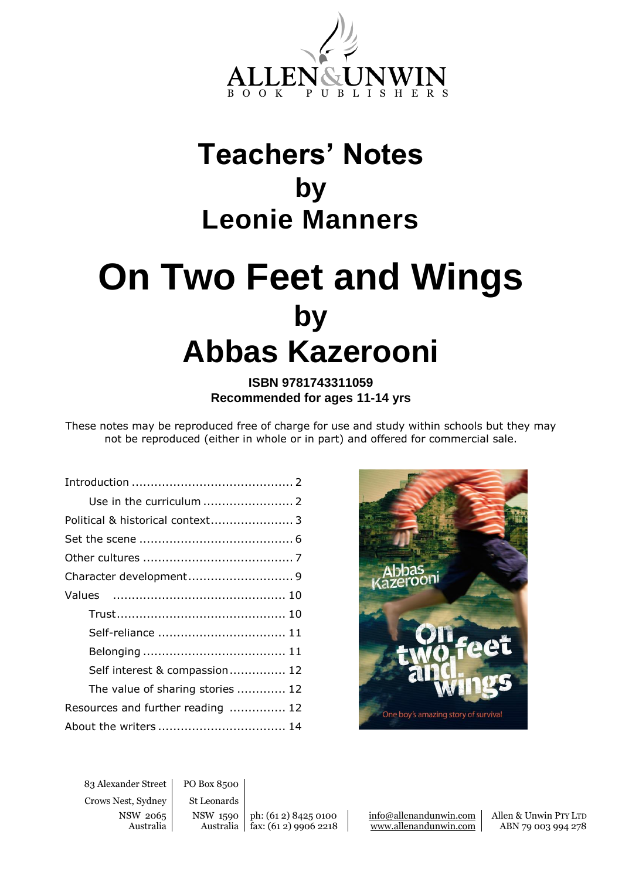

## **Teachers' Notes by Leonie Manners**

# **On Two Feet and Wings by Abbas Kazerooni**

**ISBN 9781743311059 Recommended for ages 11-14 yrs**

These notes may be reproduced free of charge for use and study within schools but they may not be reproduced (either in whole or in part) and offered for commercial sale.

| Political & historical context 3  |
|-----------------------------------|
|                                   |
|                                   |
|                                   |
|                                   |
|                                   |
| Self-reliance  11                 |
|                                   |
| Self interest & compassion 12     |
| The value of sharing stories  12  |
| Resources and further reading  12 |
| About the writers  14             |



83 Alexander Street PO Box 8500 Crows Nest, Sydney St Leonards

NSW 2065 NSW 1590 | ph: (61 2) 8425 0100 | info@allenandunwin.com | Allen & Unwin PTY LTD Australia | Australia | fax: (61 2) 9906 2218 | www.allenandunwin.com | ABN 79 003 994 278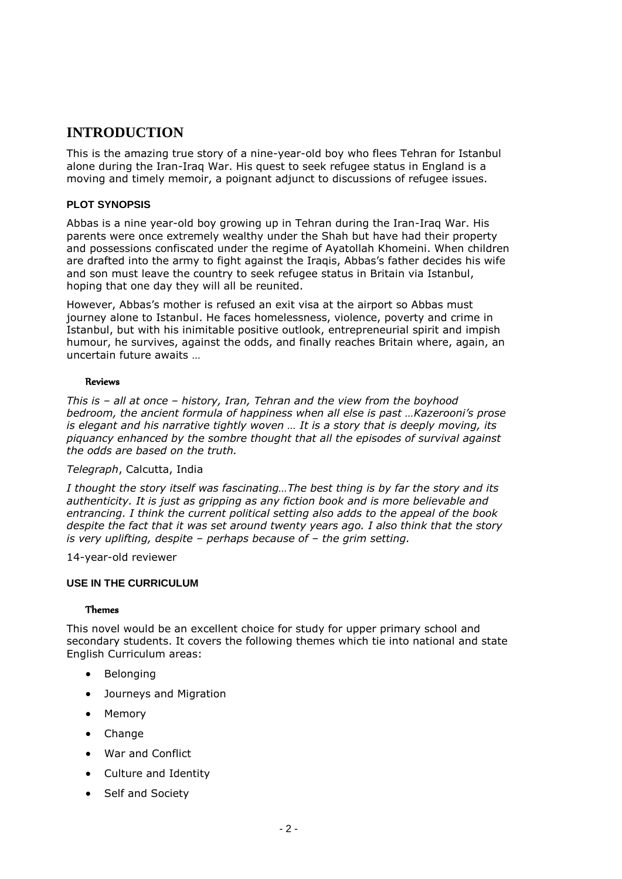### **INTRODUCTION**

This is the amazing true story of a nine-year-old boy who flees Tehran for Istanbul alone during the Iran-Iraq War. His quest to seek refugee status in England is a moving and timely memoir, a poignant adjunct to discussions of refugee issues.

#### **PLOT SYNOPSIS**

Abbas is a nine year-old boy growing up in Tehran during the Iran-Iraq War. His parents were once extremely wealthy under the Shah but have had their property and possessions confiscated under the regime of Ayatollah Khomeini. When children are drafted into the army to fight against the Iraqis, Abbas's father decides his wife and son must leave the country to seek refugee status in Britain via Istanbul, hoping that one day they will all be reunited.

However, Abbas's mother is refused an exit visa at the airport so Abbas must journey alone to Istanbul. He faces homelessness, violence, poverty and crime in Istanbul, but with his inimitable positive outlook, entrepreneurial spirit and impish humour, he survives, against the odds, and finally reaches Britain where, again, an uncertain future awaits …

#### Reviews

*This is – all at once – history, Iran, Tehran and the view from the boyhood bedroom, the ancient formula of happiness when all else is past …Kazerooni's prose is elegant and his narrative tightly woven ... It is a story that is deeply moving, its piquancy enhanced by the sombre thought that all the episodes of survival against the odds are based on the truth.*

#### *Telegraph*, Calcutta, India

*I thought the story itself was fascinating…The best thing is by far the story and its authenticity. It is just as gripping as any fiction book and is more believable and entrancing. I think the current political setting also adds to the appeal of the book despite the fact that it was set around twenty years ago. I also think that the story is very uplifting, despite – perhaps because of – the grim setting.*

14-year-old reviewer

#### **USE IN THE CURRICULUM**

#### Themes

This novel would be an excellent choice for study for upper primary school and secondary students. It covers the following themes which tie into national and state English Curriculum areas:

- Belonging
- Journeys and Migration
- Memory
- Change
- War and Conflict
- Culture and Identity
- Self and Society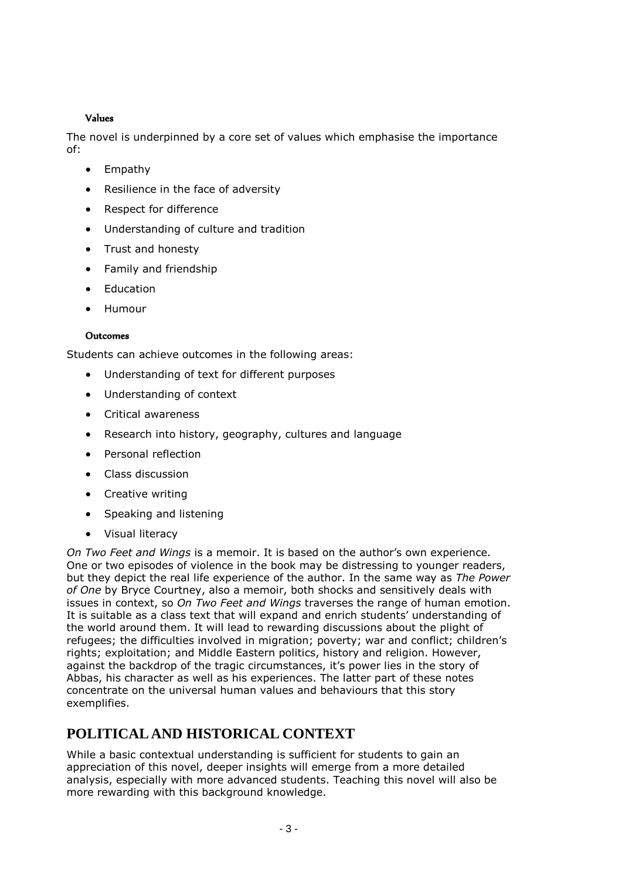#### Values

The novel is underpinned by a core set of values which emphasise the importance of:

- Empathy
- Resilience in the face of adversity
- Respect for difference
- Understanding of culture and tradition
- Trust and honesty
- Family and friendship
- Education
- Humour

#### Outcomes

Students can achieve outcomes in the following areas:

- Understanding of text for different purposes
- Understanding of context
- Critical awareness
- Research into history, geography, cultures and language
- Personal reflection
- Class discussion
- Creative writing
- Speaking and listening
- Visual literacy

*On Two Feet and Wings* is a memoir. It is based on the author's own experience. One or two episodes of violence in the book may be distressing to younger readers, but they depict the real life experience of the author. In the same way as *The Power of One* by Bryce Courtney, also a memoir, both shocks and sensitively deals with issues in context, so *On Two Feet and Wings* traverses the range of human emotion. It is suitable as a class text that will expand and enrich students' understanding of the world around them. It will lead to rewarding discussions about the plight of refugees; the difficulties involved in migration; poverty; war and conflict; children's rights; exploitation; and Middle Eastern politics, history and religion. However, against the backdrop of the tragic circumstances, it's power lies in the story of Abbas, his character as well as his experiences. The latter part of these notes concentrate on the universal human values and behaviours that this story exemplifies.

## **POLITICAL AND HISTORICAL CONTEXT**

While a basic contextual understanding is sufficient for students to gain an appreciation of this novel, deeper insights will emerge from a more detailed analysis, especially with more advanced students. Teaching this novel will also be more rewarding with this background knowledge.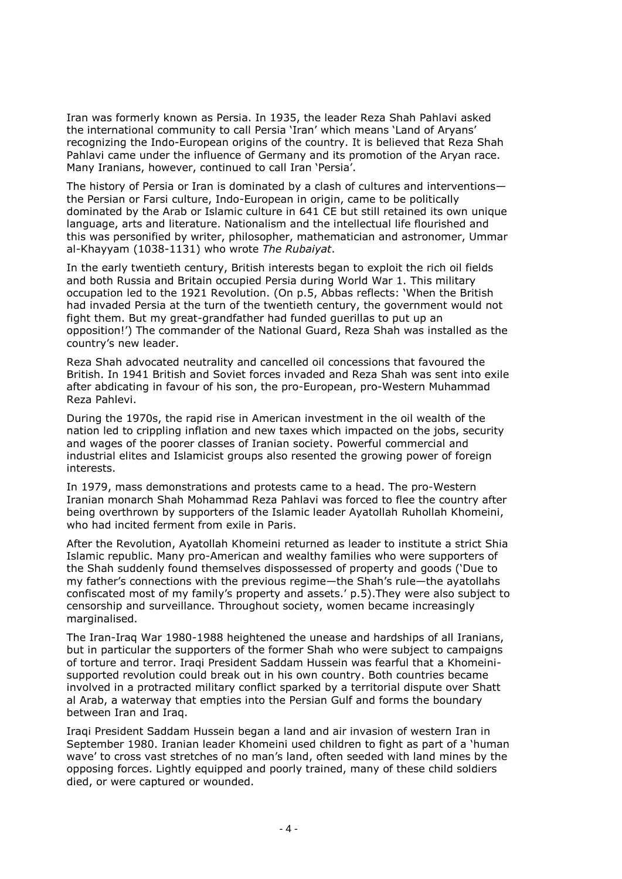Iran was formerly known as Persia. In 1935, the leader Reza Shah Pahlavi asked the international community to call Persia 'Iran' which means 'Land of Aryans' recognizing the Indo-European origins of the country. It is believed that Reza Shah Pahlavi came under the influence of Germany and its promotion of the Aryan race. Many Iranians, however, continued to call Iran 'Persia'.

The history of Persia or Iran is dominated by a clash of cultures and interventions the Persian or Farsi culture, Indo-European in origin, came to be politically dominated by the Arab or Islamic culture in 641 CE but still retained its own unique language, arts and literature. Nationalism and the intellectual life flourished and this was personified by writer, philosopher, mathematician and astronomer, Ummar al-Khayyam (1038-1131) who wrote *The Rubaiyat*.

In the early twentieth century, British interests began to exploit the rich oil fields and both Russia and Britain occupied Persia during World War 1. This military occupation led to the 1921 Revolution. (On p.5, Abbas reflects: 'When the British had invaded Persia at the turn of the twentieth century, the government would not fight them. But my great-grandfather had funded guerillas to put up an opposition!') The commander of the National Guard, Reza Shah was installed as the country's new leader.

Reza Shah advocated neutrality and cancelled oil concessions that favoured the British. In 1941 British and Soviet forces invaded and Reza Shah was sent into exile after abdicating in favour of his son, the pro-European, pro-Western Muhammad Reza Pahlevi.

During the 1970s, the rapid rise in American investment in the oil wealth of the nation led to crippling inflation and new taxes which impacted on the jobs, security and wages of the poorer classes of Iranian society. Powerful commercial and industrial elites and Islamicist groups also resented the growing power of foreign interests.

In 1979, mass demonstrations and protests came to a head. The pro-Western Iranian monarch Shah Mohammad Reza Pahlavi was forced to flee the country after being overthrown by supporters of the Islamic leader Ayatollah Ruhollah Khomeini, who had incited ferment from exile in Paris.

After the Revolution, Ayatollah Khomeini returned as leader to institute a strict Shia Islamic republic. Many pro-American and wealthy families who were supporters of the Shah suddenly found themselves dispossessed of property and goods ('Due to my father's connections with the previous regime—the Shah's rule—the ayatollahs confiscated most of my family's property and assets.' p.5).They were also subject to censorship and surveillance. Throughout society, women became increasingly marginalised.

The Iran-Iraq War 1980-1988 heightened the unease and hardships of all Iranians, but in particular the supporters of the former Shah who were subject to campaigns of torture and terror. Iraqi President Saddam Hussein was fearful that a Khomeinisupported revolution could break out in his own country. Both countries became involved in a protracted military conflict sparked by a territorial dispute over Shatt al Arab, a waterway that empties into the Persian Gulf and forms the boundary between Iran and Iraq.

Iraqi President Saddam Hussein began a land and air invasion of western Iran in September 1980. Iranian leader Khomeini used children to fight as part of a 'human wave' to cross vast stretches of no man's land, often seeded with land mines by the opposing forces. Lightly equipped and poorly trained, many of these child soldiers died, or were captured or wounded.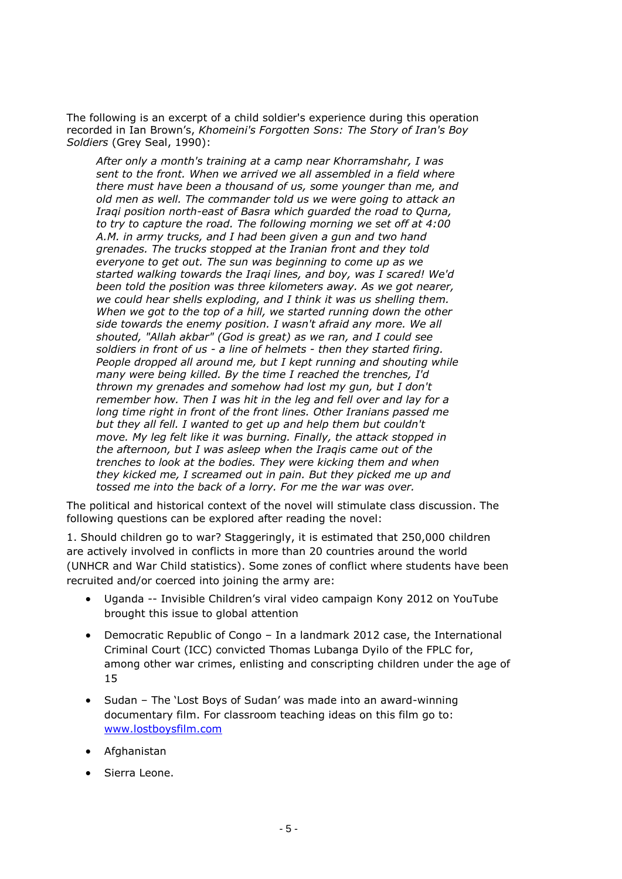The following is an excerpt of a child soldier's experience during this operation recorded in Ian Brown's, *Khomeini's Forgotten Sons: The Story of Iran's Boy Soldiers* (Grey Seal, 1990):

*After only a month's training at a camp near Khorramshahr, I was sent to the front. When we arrived we all assembled in a field where there must have been a thousand of us, some younger than me, and old men as well. The commander told us we were going to attack an Iraqi position north-east of Basra which guarded the road to Qurna, to try to capture the road. The following morning we set off at 4:00 A.M. in army trucks, and I had been given a gun and two hand grenades. The trucks stopped at the Iranian front and they told everyone to get out. The sun was beginning to come up as we started walking towards the Iraqi lines, and boy, was I scared! We'd been told the position was three kilometers away. As we got nearer, we could hear shells exploding, and I think it was us shelling them. When we got to the top of a hill, we started running down the other side towards the enemy position. I wasn't afraid any more. We all shouted, "Allah akbar" (God is great) as we ran, and I could see soldiers in front of us - a line of helmets - then they started firing. People dropped all around me, but I kept running and shouting while many were being killed. By the time I reached the trenches, I'd thrown my grenades and somehow had lost my gun, but I don't remember how. Then I was hit in the leg and fell over and lay for a long time right in front of the front lines. Other Iranians passed me but they all fell. I wanted to get up and help them but couldn't move. My leg felt like it was burning. Finally, the attack stopped in the afternoon, but I was asleep when the Iraqis came out of the trenches to look at the bodies. They were kicking them and when they kicked me, I screamed out in pain. But they picked me up and tossed me into the back of a lorry. For me the war was over.*

The political and historical context of the novel will stimulate class discussion. The following questions can be explored after reading the novel:

1. Should children go to war? Staggeringly, it is estimated that 250,000 children are actively involved in conflicts in more than 20 countries around the world (UNHCR and War Child statistics). Some zones of conflict where students have been recruited and/or coerced into joining the army are:

- Uganda -- Invisible Children's viral video campaign Kony 2012 on YouTube brought this issue to global attention
- Democratic Republic of Congo In a landmark 2012 case, the International Criminal Court (ICC) convicted Thomas Lubanga Dyilo of the FPLC for, among other war crimes, enlisting and conscripting children under the age of 15
- Sudan The 'Lost Boys of Sudan' was made into an award-winning documentary film. For classroom teaching ideas on this film go to: [www.lostboysfilm.com](http://www.lostboysfilm.com/)
- Afghanistan
- Sierra Leone.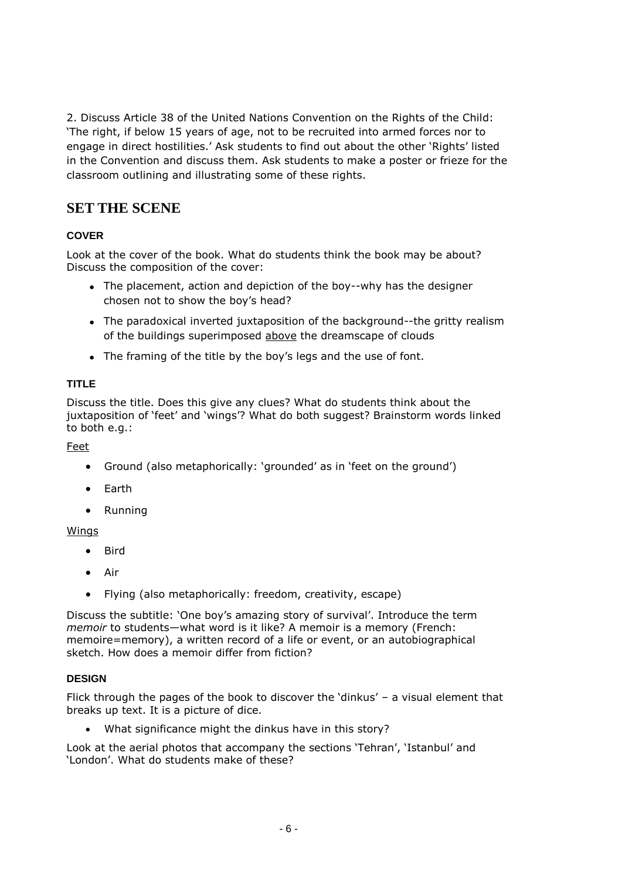2. Discuss Article 38 of the United Nations Convention on the Rights of the Child: 'The right, if below 15 years of age, not to be recruited into armed forces nor to engage in direct hostilities.' Ask students to find out about the other 'Rights' listed in the Convention and discuss them. Ask students to make a poster or frieze for the classroom outlining and illustrating some of these rights.

## **SET THE SCENE**

#### **COVER**

Look at the cover of the book. What do students think the book may be about? Discuss the composition of the cover:

- The placement, action and depiction of the boy--why has the designer chosen not to show the boy's head?
- The paradoxical inverted juxtaposition of the background--the gritty realism of the buildings superimposed above the dreamscape of clouds
- The framing of the title by the boy's legs and the use of font.

#### **TITLE**

Discuss the title. Does this give any clues? What do students think about the juxtaposition of 'feet' and 'wings'? What do both suggest? Brainstorm words linked to both e.g.:

Feet

- Ground (also metaphorically: 'grounded' as in 'feet on the ground')
- Earth
- Running

#### Wings

- Bird
- Air
- Flying (also metaphorically: freedom, creativity, escape)

Discuss the subtitle: 'One boy's amazing story of survival'. Introduce the term *memoir* to students—what word is it like? A memoir is a memory (French: memoire=memory), a written record of a life or event, or an autobiographical sketch. How does a memoir differ from fiction?

#### **DESIGN**

Flick through the pages of the book to discover the 'dinkus' – a visual element that breaks up text. It is a picture of dice.

What significance might the dinkus have in this story?

Look at the aerial photos that accompany the sections 'Tehran', 'Istanbul' and 'London'. What do students make of these?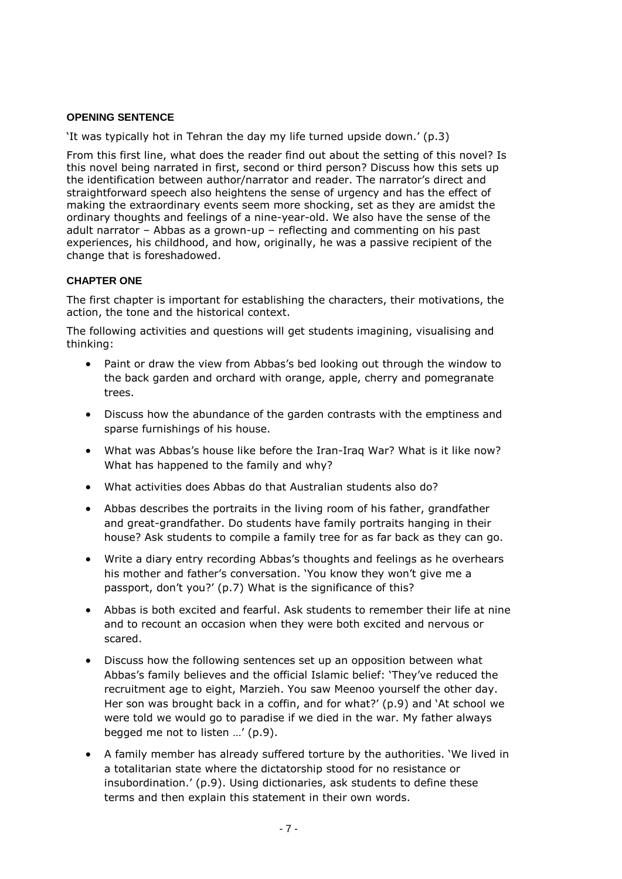#### **OPENING SENTENCE**

'It was typically hot in Tehran the day my life turned upside down.' (p.3)

From this first line, what does the reader find out about the setting of this novel? Is this novel being narrated in first, second or third person? Discuss how this sets up the identification between author/narrator and reader. The narrator's direct and straightforward speech also heightens the sense of urgency and has the effect of making the extraordinary events seem more shocking, set as they are amidst the ordinary thoughts and feelings of a nine-year-old. We also have the sense of the adult narrator – Abbas as a grown-up – reflecting and commenting on his past experiences, his childhood, and how, originally, he was a passive recipient of the change that is foreshadowed.

#### **CHAPTER ONE**

The first chapter is important for establishing the characters, their motivations, the action, the tone and the historical context.

The following activities and questions will get students imagining, visualising and thinking:

- Paint or draw the view from Abbas's bed looking out through the window to the back garden and orchard with orange, apple, cherry and pomegranate trees.
- Discuss how the abundance of the garden contrasts with the emptiness and sparse furnishings of his house.
- What was Abbas's house like before the Iran-Iraq War? What is it like now? What has happened to the family and why?
- What activities does Abbas do that Australian students also do?
- Abbas describes the portraits in the living room of his father, grandfather and great-grandfather. Do students have family portraits hanging in their house? Ask students to compile a family tree for as far back as they can go.
- Write a diary entry recording Abbas's thoughts and feelings as he overhears his mother and father's conversation. 'You know they won't give me a passport, don't you?' (p.7) What is the significance of this?
- Abbas is both excited and fearful. Ask students to remember their life at nine and to recount an occasion when they were both excited and nervous or scared.
- Discuss how the following sentences set up an opposition between what Abbas's family believes and the official Islamic belief: 'They've reduced the recruitment age to eight, Marzieh. You saw Meenoo yourself the other day. Her son was brought back in a coffin, and for what?' (p.9) and 'At school we were told we would go to paradise if we died in the war. My father always begged me not to listen …' (p.9).
- A family member has already suffered torture by the authorities. 'We lived in a totalitarian state where the dictatorship stood for no resistance or insubordination.' (p.9). Using dictionaries, ask students to define these terms and then explain this statement in their own words.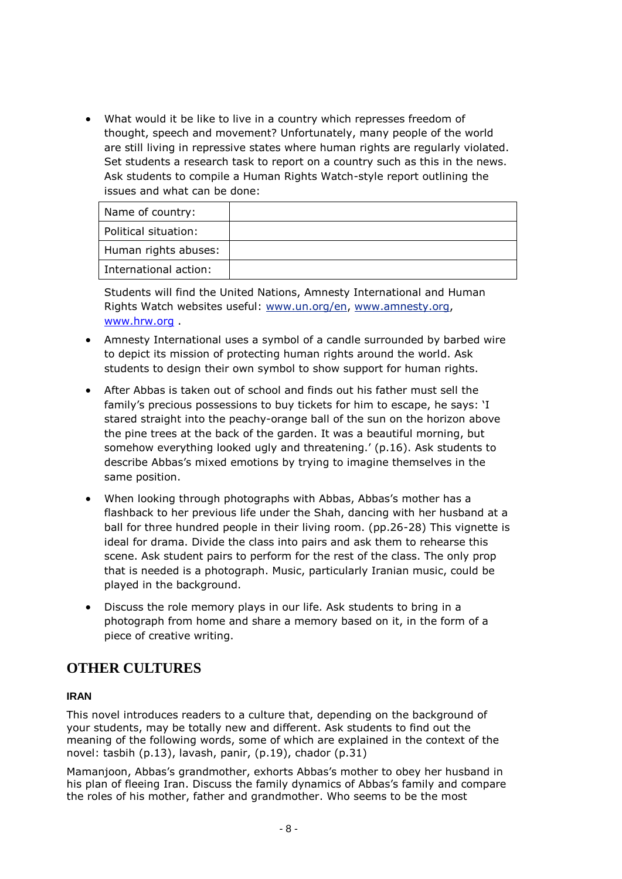What would it be like to live in a country which represses freedom of thought, speech and movement? Unfortunately, many people of the world are still living in repressive states where human rights are regularly violated. Set students a research task to report on a country such as this in the news. Ask students to compile a Human Rights Watch-style report outlining the issues and what can be done:

| Name of country:      |  |
|-----------------------|--|
| Political situation:  |  |
| Human rights abuses:  |  |
| International action: |  |

Students will find the United Nations, Amnesty International and Human Rights Watch websites useful: [www.un.org/en,](http://www.un.org/en) [www.amnesty.org,](http://www.amnesty.org/) [www.hrw.org](http://www.hrw.org/) .

- Amnesty International uses a symbol of a candle surrounded by barbed wire to depict its mission of protecting human rights around the world. Ask students to design their own symbol to show support for human rights.
- After Abbas is taken out of school and finds out his father must sell the family's precious possessions to buy tickets for him to escape, he says: 'I stared straight into the peachy-orange ball of the sun on the horizon above the pine trees at the back of the garden. It was a beautiful morning, but somehow everything looked ugly and threatening.' (p.16). Ask students to describe Abbas's mixed emotions by trying to imagine themselves in the same position.
- When looking through photographs with Abbas, Abbas's mother has a flashback to her previous life under the Shah, dancing with her husband at a ball for three hundred people in their living room. (pp.26-28) This vignette is ideal for drama. Divide the class into pairs and ask them to rehearse this scene. Ask student pairs to perform for the rest of the class. The only prop that is needed is a photograph. Music, particularly Iranian music, could be played in the background.
- Discuss the role memory plays in our life. Ask students to bring in a photograph from home and share a memory based on it, in the form of a piece of creative writing.

## **OTHER CULTURES**

#### **IRAN**

This novel introduces readers to a culture that, depending on the background of your students, may be totally new and different. Ask students to find out the meaning of the following words, some of which are explained in the context of the novel: tasbih (p.13), lavash, panir, (p.19), chador (p.31)

Mamanjoon, Abbas's grandmother, exhorts Abbas's mother to obey her husband in his plan of fleeing Iran. Discuss the family dynamics of Abbas's family and compare the roles of his mother, father and grandmother. Who seems to be the most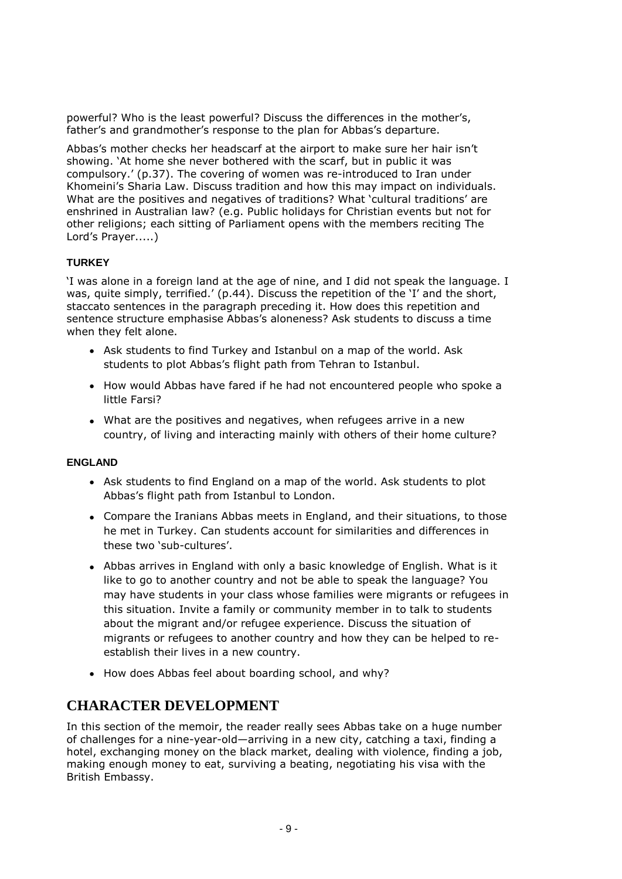powerful? Who is the least powerful? Discuss the differences in the mother's, father's and grandmother's response to the plan for Abbas's departure.

Abbas's mother checks her headscarf at the airport to make sure her hair isn't showing. 'At home she never bothered with the scarf, but in public it was compulsory.' (p.37). The covering of women was re-introduced to Iran under Khomeini's Sharia Law. Discuss tradition and how this may impact on individuals. What are the positives and negatives of traditions? What 'cultural traditions' are enshrined in Australian law? (e.g. Public holidays for Christian events but not for other religions; each sitting of Parliament opens with the members reciting The Lord's Prayer.....)

#### **TURKEY**

'I was alone in a foreign land at the age of nine, and I did not speak the language. I was, quite simply, terrified.' (p.44). Discuss the repetition of the 'I' and the short, staccato sentences in the paragraph preceding it. How does this repetition and sentence structure emphasise Abbas's aloneness? Ask students to discuss a time when they felt alone.

- Ask students to find Turkey and Istanbul on a map of the world. Ask students to plot Abbas's flight path from Tehran to Istanbul.
- How would Abbas have fared if he had not encountered people who spoke a little Farsi?
- What are the positives and negatives, when refugees arrive in a new country, of living and interacting mainly with others of their home culture?

#### **ENGLAND**

- Ask students to find England on a map of the world. Ask students to plot Abbas's flight path from Istanbul to London.
- Compare the Iranians Abbas meets in England, and their situations, to those he met in Turkey. Can students account for similarities and differences in these two 'sub-cultures'.
- Abbas arrives in England with only a basic knowledge of English. What is it like to go to another country and not be able to speak the language? You may have students in your class whose families were migrants or refugees in this situation. Invite a family or community member in to talk to students about the migrant and/or refugee experience. Discuss the situation of migrants or refugees to another country and how they can be helped to reestablish their lives in a new country.
- How does Abbas feel about boarding school, and why?

## **CHARACTER DEVELOPMENT**

In this section of the memoir, the reader really sees Abbas take on a huge number of challenges for a nine-year-old—arriving in a new city, catching a taxi, finding a hotel, exchanging money on the black market, dealing with violence, finding a job, making enough money to eat, surviving a beating, negotiating his visa with the British Embassy.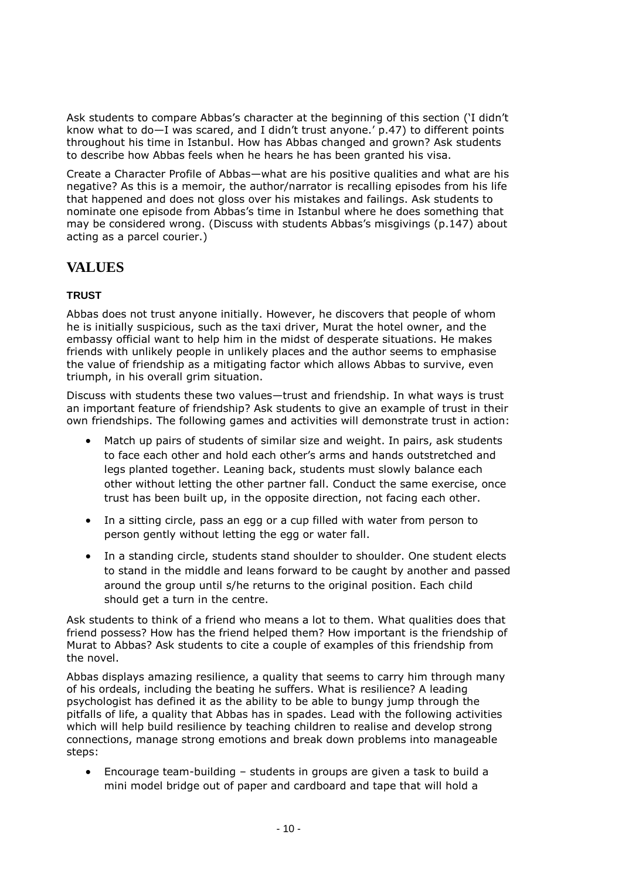Ask students to compare Abbas's character at the beginning of this section ('I didn't know what to do—I was scared, and I didn't trust anyone.' p.47) to different points throughout his time in Istanbul. How has Abbas changed and grown? Ask students to describe how Abbas feels when he hears he has been granted his visa.

Create a Character Profile of Abbas—what are his positive qualities and what are his negative? As this is a memoir, the author/narrator is recalling episodes from his life that happened and does not gloss over his mistakes and failings. Ask students to nominate one episode from Abbas's time in Istanbul where he does something that may be considered wrong. (Discuss with students Abbas's misgivings (p.147) about acting as a parcel courier.)

## **VALUES**

#### **TRUST**

Abbas does not trust anyone initially. However, he discovers that people of whom he is initially suspicious, such as the taxi driver, Murat the hotel owner, and the embassy official want to help him in the midst of desperate situations. He makes friends with unlikely people in unlikely places and the author seems to emphasise the value of friendship as a mitigating factor which allows Abbas to survive, even triumph, in his overall grim situation.

Discuss with students these two values—trust and friendship. In what ways is trust an important feature of friendship? Ask students to give an example of trust in their own friendships. The following games and activities will demonstrate trust in action:

- Match up pairs of students of similar size and weight. In pairs, ask students to face each other and hold each other's arms and hands outstretched and legs planted together. Leaning back, students must slowly balance each other without letting the other partner fall. Conduct the same exercise, once trust has been built up, in the opposite direction, not facing each other.
- In a sitting circle, pass an egg or a cup filled with water from person to person gently without letting the egg or water fall.
- In a standing circle, students stand shoulder to shoulder. One student elects to stand in the middle and leans forward to be caught by another and passed around the group until s/he returns to the original position. Each child should get a turn in the centre.

Ask students to think of a friend who means a lot to them. What qualities does that friend possess? How has the friend helped them? How important is the friendship of Murat to Abbas? Ask students to cite a couple of examples of this friendship from the novel.

Abbas displays amazing resilience, a quality that seems to carry him through many of his ordeals, including the beating he suffers. What is resilience? A leading psychologist has defined it as the ability to be able to bungy jump through the pitfalls of life, a quality that Abbas has in spades. Lead with the following activities which will help build resilience by teaching children to realise and develop strong connections, manage strong emotions and break down problems into manageable steps:

 Encourage team-building – students in groups are given a task to build a mini model bridge out of paper and cardboard and tape that will hold a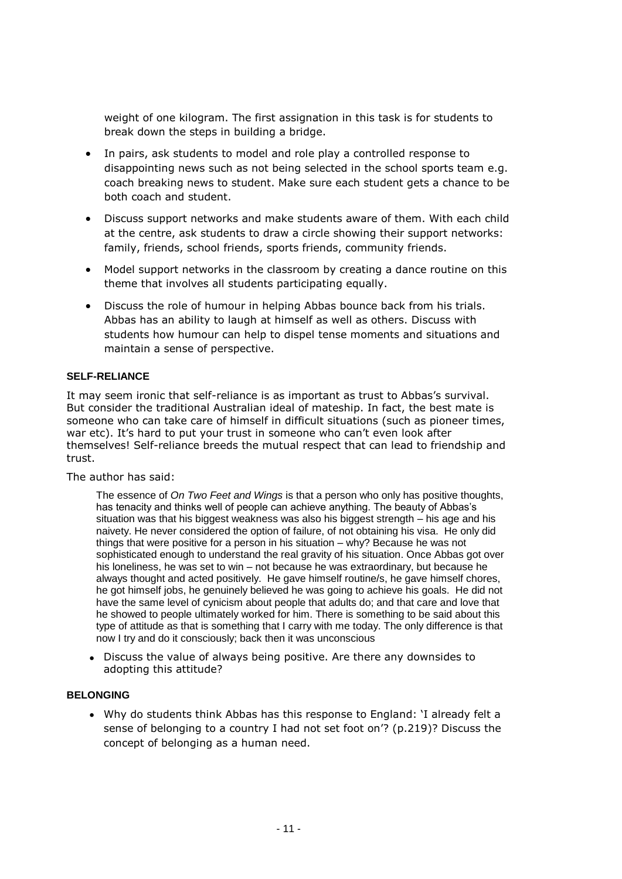weight of one kilogram. The first assignation in this task is for students to break down the steps in building a bridge.

- In pairs, ask students to model and role play a controlled response to disappointing news such as not being selected in the school sports team e.g. coach breaking news to student. Make sure each student gets a chance to be both coach and student.
- Discuss support networks and make students aware of them. With each child at the centre, ask students to draw a circle showing their support networks: family, friends, school friends, sports friends, community friends.
- Model support networks in the classroom by creating a dance routine on this theme that involves all students participating equally.
- Discuss the role of humour in helping Abbas bounce back from his trials. Abbas has an ability to laugh at himself as well as others. Discuss with students how humour can help to dispel tense moments and situations and maintain a sense of perspective.

#### **SELF-RELIANCE**

It may seem ironic that self-reliance is as important as trust to Abbas's survival. But consider the traditional Australian ideal of mateship. In fact, the best mate is someone who can take care of himself in difficult situations (such as pioneer times, war etc). It's hard to put your trust in someone who can't even look after themselves! Self-reliance breeds the mutual respect that can lead to friendship and trust.

The author has said:

The essence of *On Two Feet and Wings* is that a person who only has positive thoughts, has tenacity and thinks well of people can achieve anything. The beauty of Abbas's situation was that his biggest weakness was also his biggest strength – his age and his naivety. He never considered the option of failure, of not obtaining his visa. He only did things that were positive for a person in his situation – why? Because he was not sophisticated enough to understand the real gravity of his situation. Once Abbas got over his loneliness, he was set to win – not because he was extraordinary, but because he always thought and acted positively. He gave himself routine/s, he gave himself chores, he got himself jobs, he genuinely believed he was going to achieve his goals. He did not have the same level of cynicism about people that adults do; and that care and love that he showed to people ultimately worked for him. There is something to be said about this type of attitude as that is something that I carry with me today. The only difference is that now I try and do it consciously; back then it was unconscious

• Discuss the value of always being positive. Are there any downsides to adopting this attitude?

#### **BELONGING**

• Why do students think Abbas has this response to England: 'I already felt a sense of belonging to a country I had not set foot on'? (p.219)? Discuss the concept of belonging as a human need.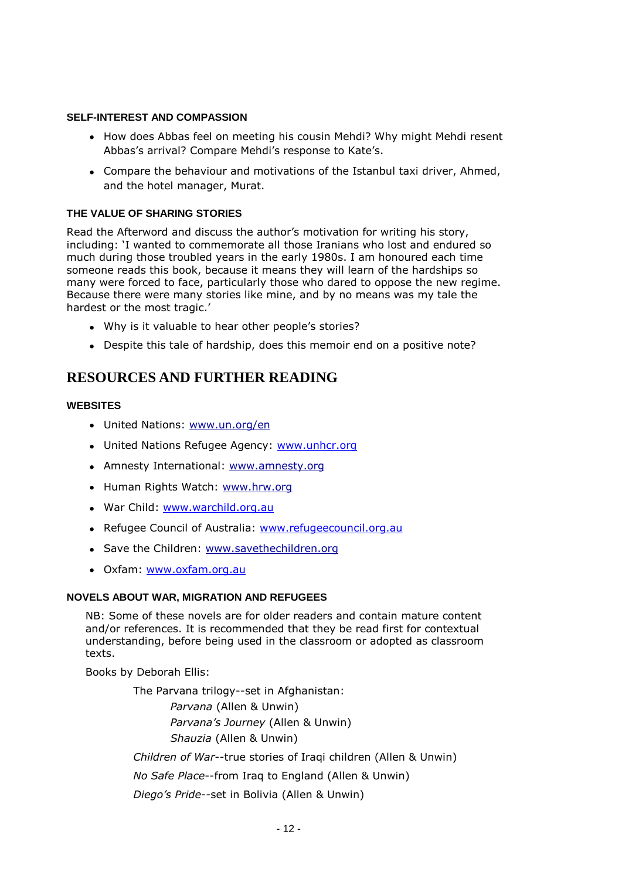#### **SELF-INTEREST AND COMPASSION**

- How does Abbas feel on meeting his cousin Mehdi? Why might Mehdi resent Abbas's arrival? Compare Mehdi's response to Kate's.
- Compare the behaviour and motivations of the Istanbul taxi driver, Ahmed, and the hotel manager, Murat.

#### **THE VALUE OF SHARING STORIES**

Read the Afterword and discuss the author's motivation for writing his story, including: 'I wanted to commemorate all those Iranians who lost and endured so much during those troubled years in the early 1980s. I am honoured each time someone reads this book, because it means they will learn of the hardships so many were forced to face, particularly those who dared to oppose the new regime. Because there were many stories like mine, and by no means was my tale the hardest or the most tragic.'

- Why is it valuable to hear other people's stories?
- Despite this tale of hardship, does this memoir end on a positive note?

## **RESOURCES AND FURTHER READING**

#### **WEBSITES**

- United Nations: [www.un.org/en](http://www.un.org/en)
- United Nations Refugee Agency: [www.unhcr.org](http://www.unhcr.org/)
- Amnesty International: [www.amnesty.org](http://www.amnesty.org/)
- Human Rights Watch: [www.hrw.org](http://www.hrw.org/)
- War Child: [www.warchild.org.au](http://www.warchild.org.au/)
- Refugee Council of Australia: [www.refugeecouncil.org.au](http://www.refugeecouncil.org.au/)
- Save the Children: [www.savethechildren.org](http://www.savethechildren.org/)
- Oxfam: [www.oxfam.org.au](http://www.oxfam.org.au/)

#### **NOVELS ABOUT WAR, MIGRATION AND REFUGEES**

NB: Some of these novels are for older readers and contain mature content and/or references. It is recommended that they be read first for contextual understanding, before being used in the classroom or adopted as classroom texts.

Books by Deborah Ellis:

The Parvana trilogy--set in Afghanistan: *Parvana* (Allen & Unwin) *Parvana's Journey* (Allen & Unwin) *Shauzia* (Allen & Unwin)

*Children of War*--true stories of Iraqi children (Allen & Unwin)

*No Safe Place*--from Iraq to England (Allen & Unwin)

*Diego's Pride*--set in Bolivia (Allen & Unwin)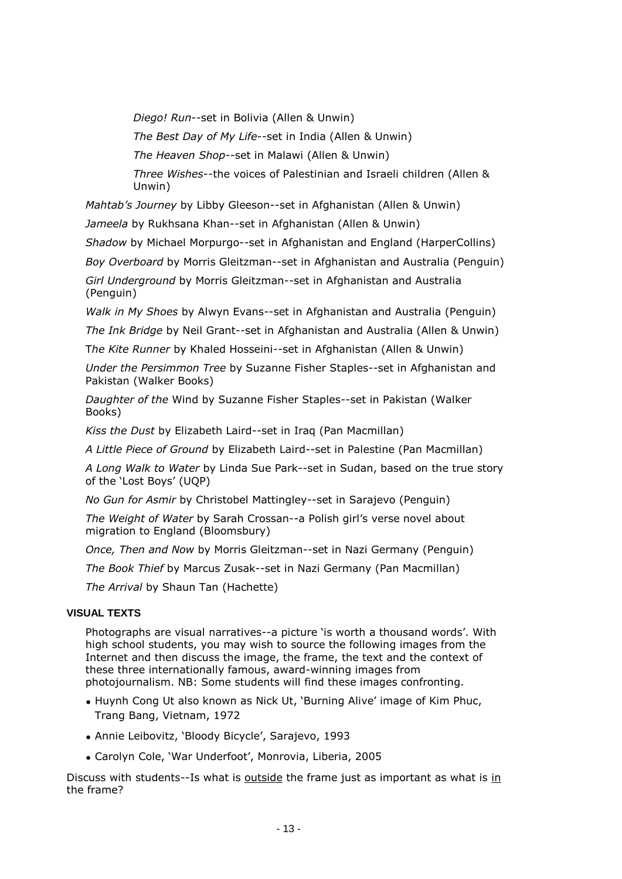*Diego! Run*--set in Bolivia (Allen & Unwin)

*The Best Day of My Life*--set in India (Allen & Unwin)

*The Heaven Shop*--set in Malawi (Allen & Unwin)

*Three Wishes*--the voices of Palestinian and Israeli children (Allen & Unwin)

*Mahtab's Journey* by Libby Gleeson--set in Afghanistan (Allen & Unwin)

*Jameela* by Rukhsana Khan--set in Afghanistan (Allen & Unwin)

*Shadow* by Michael Morpurgo--set in Afghanistan and England (HarperCollins)

*Boy Overboard* by Morris Gleitzman--set in Afghanistan and Australia (Penguin)

*Girl Underground* by Morris Gleitzman--set in Afghanistan and Australia (Penguin)

*Walk in My Shoes* by Alwyn Evans--set in Afghanistan and Australia (Penguin)

*The Ink Bridge* by Neil Grant--set in Afghanistan and Australia (Allen & Unwin)

T*he Kite Runner* by Khaled Hosseini--set in Afghanistan (Allen & Unwin)

*Under the Persimmon Tree* by Suzanne Fisher Staples--set in Afghanistan and Pakistan (Walker Books)

*Daughter of the* Wind by Suzanne Fisher Staples--set in Pakistan (Walker Books)

*Kiss the Dust* by Elizabeth Laird--set in Iraq (Pan Macmillan)

*A Little Piece of Ground* by Elizabeth Laird--set in Palestine (Pan Macmillan)

*A Long Walk to Water* by Linda Sue Park--set in Sudan, based on the true story of the 'Lost Boys' (UQP)

*No Gun for Asmir* by Christobel Mattingley--set in Sarajevo (Penguin)

*The Weight of Water* by Sarah Crossan--a Polish girl's verse novel about migration to England (Bloomsbury)

*Once, Then and Now* by Morris Gleitzman--set in Nazi Germany (Penguin)

*The Book Thief* by Marcus Zusak--set in Nazi Germany (Pan Macmillan)

*The Arrival* by Shaun Tan (Hachette)

#### **VISUAL TEXTS**

Photographs are visual narratives--a picture 'is worth a thousand words'. With high school students, you may wish to source the following images from the Internet and then discuss the image, the frame, the text and the context of these three internationally famous, award-winning images from photojournalism. NB: Some students will find these images confronting.

- Huynh Cong Ut also known as Nick Ut, 'Burning Alive' image of Kim Phuc, Trang Bang, Vietnam, 1972
- Annie Leibovitz, 'Bloody Bicycle', Sarajevo, 1993
- Carolyn Cole, 'War Underfoot', Monrovia, Liberia, 2005

Discuss with students--Is what is **outside** the frame just as important as what is in the frame?